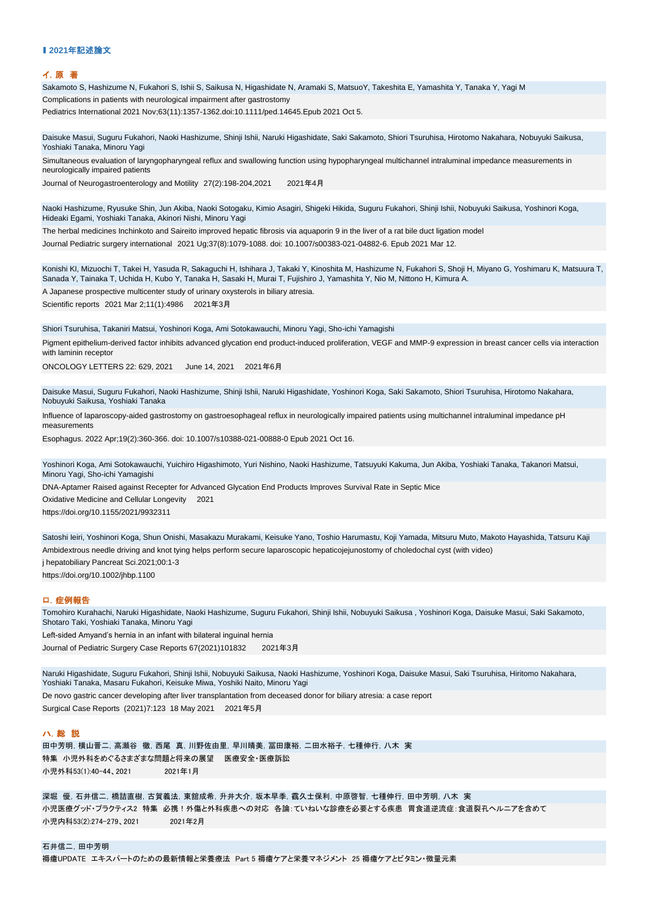### ■ 2021年記述論文

#### イ.原 著

Sakamoto S, Hashizume N, Fukahori S, Ishii S, Saikusa N, Higashidate N, Aramaki S, MatsuoY, Takeshita E, Yamashita Y, Tanaka Y, Yagi M

Complications in patients with neurological impairment after gastrostomy

Pediatrics International 2021 Nov;63(11):1357-1362.doi:10.1111/ped.14645.Epub 2021 Oct 5.

Daisuke Masui, Suguru Fukahori, Naoki Hashizume, Shinji Ishii, Naruki Higashidate, Saki Sakamoto, Shiori Tsuruhisa, Hirotomo Nakahara, Nobuyuki Saikusa, Yoshiaki Tanaka, Minoru Yagi

Simultaneous evaluation of laryngopharyngeal reflux and swallowing function using hypopharyngeal multichannel intraluminal impedance measurements in neurologically impaired patients

Journal of Neurogastroenterology and Motility 27(2):198-204,2021 2021年4月

Naoki Hashizume, Ryusuke Shin, Jun Akiba, Naoki Sotogaku, Kimio Asagiri, Shigeki Hikida, Suguru Fukahori, Shinji Ishii, Nobuyuki Saikusa, Yoshinori Koga, Hideaki Egami, Yoshiaki Tanaka, Akinori Nishi, Minoru Yagi

The herbal medicines Inchinkoto and Saireito improved hepatic fibrosis via aquaporin 9 in the liver of a rat bile duct ligation model Journal Pediatric surgery international 2021 Ug;37(8):1079-1088. doi: 10.1007/s00383-021-04882-6. Epub 2021 Mar 12.

Konishi KI, Mizuochi T, Takei H, Yasuda R, Sakaguchi H, Ishihara J, Takaki Y, Kinoshita M, Hashizume N, Fukahori S, Shoji H, Miyano G, Yoshimaru K, Matsuura T, Sanada Y, Tainaka T, Uchida H, Kubo Y, Tanaka H, Sasaki H, Murai T, Fujishiro J, Yamashita Y, Nio M, Nittono H, Kimura A.

A Japanese prospective multicenter study of urinary oxysterols in biliary atresia.

Scientific reports 2021 Mar 2;11(1):4986 2021年3月

Shiori Tsuruhisa, Takaniri Matsui, Yoshinori Koga, Ami Sotokawauchi, Minoru Yagi, Sho-ichi Yamagishi

Pigment epithelium-derived factor inhibits advanced glycation end product-induced proliferation, VEGF and MMP-9 expression in breast cancer cells via interaction with laminin receptor

ONCOLOGY LETTERS 22: 629, 2021 June 14, 2021 2021年6月

Daisuke Masui, Suguru Fukahori, Naoki Hashizume, Shinji Ishii, Naruki Higashidate, Yoshinori Koga, Saki Sakamoto, Shiori Tsuruhisa, Hirotomo Nakahara, Nobuyuki Saikusa, Yoshiaki Tanaka

Influence of laparoscopy-aided gastrostomy on gastroesophageal reflux in neurologically impaired patients using multichannel intraluminal impedance pH measurements

Esophagus. 2022 Apr;19(2):360-366. doi: 10.1007/s10388-021-00888-0 Epub 2021 Oct 16.

Yoshinori Koga, Ami Sotokawauchi, Yuichiro Higashimoto, Yuri Nishino, Naoki Hashizume, Tatsuyuki Kakuma, Jun Akiba, Yoshiaki Tanaka, Takanori Matsui, Minoru Yagi, Sho-ichi Yamagishi

[https://doi.org/10.1155/202](https://doi.org/10.1155/2021/9932311)1/9932311 Oxidative Medicine and Cellular Longevity 2021 DNA-Aptamer Raised against Recepter for Advanced Glycation End Products Improves Survival Rate in Septic Mice

Ambidextrous needle driving and knot tying helps perform secure laparoscopic hepaticojejunostomy of choledochal cyst (with video) [https://doi.org/10.1002/jhbp](https://doi.org/10.1002/jhbp.1100).1100 Satoshi Ieiri, Yoshinori Koga, Shun Onishi, Masakazu Murakami, Keisuke Yano, Toshio Harumastu, Koji Yamada, Mitsuru Muto, Makoto Hayashida, Tatsuru Kaji j hepatobiliary Pancreat Sci.2021;00:1-3

### ロ.症例報告

Tomohiro Kurahachi, Naruki Higashidate, Naoki Hashizume, Suguru Fukahori, Shinji Ishii, Nobuyuki Saikusa , Yoshinori Koga, Daisuke Masui, Saki Sakamoto, Shotaro Taki, Yoshiaki Tanaka, Minoru Yagi Left-sided Amyand's hernia in an infant with bilateral inguinal hernia Journal of Pediatric Surgery Case Reports 67(2021)101832 2021年3月

De novo gastric cancer developing after liver transplantation from deceased donor for biliary atresia: a case report Surgical Case Reports (2021)7:123 18 May 2021 2021年5月 Naruki Higashidate, Suguru Fukahori, Shinji Ishii, Nobuyuki Saikusa, Naoki Hashizume, Yoshinori Koga, Daisuke Masui, Saki Tsuruhisa, Hiritomo Nakahara, Yoshiaki Tanaka, Masaru Fukahori, Keisuke Miwa, Yoshiki Naito, Minoru Yagi

#### ハ.総 説

特集 小児外科をめぐるさまざまな問題と将来の展望 医療安全・医療訴訟 小児外科53(1):40-44、2021 2021年1月 田中芳明,横山晋二,高瀬谷 徹,西尾 真,川野佐由里,早川晴美,冨田康裕,二田水裕子,七種伸行,八木 実

深堀 優,石井信二,橋詰直樹,古賀義法,東舘成希,升井大介,坂本早季,靍久士保利,中原啓智,七種伸行,田中芳明,八木 実 小児医療グッド・プラクティス2 特集 必携!外傷と外科疾患への対応 各論:ていねいな診療を必要とする疾患 胃食道逆流症:食道裂孔ヘルニアを含めて 小児内科53(2):274-279、2021 2021年2月

石井信二,田中芳明 褥瘡UPDATE エキスパートのための最新情報と栄養療法 Part 5 褥瘡ケアと栄養マネジメント 25 褥瘡ケアとビタミン・微量元素